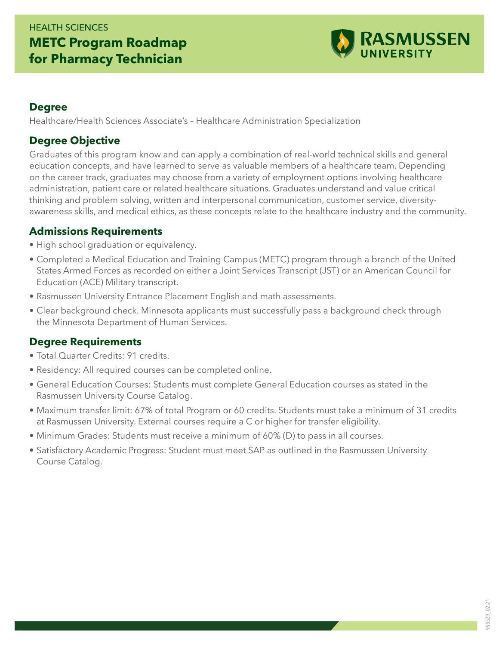## HEALTH SCIENCES **METC Program Roadmap for Pharmacy Technician**



#### **Degree**

Healthcare/Health Sciences Associate's – Healthcare Administration Specialization

### **Degree Objective**

Graduates of this program know and can apply a combination of real-world technical skills and general education concepts, and have learned to serve as valuable members of a healthcare team. Depending on the career track, graduates may choose from a variety of employment options involving healthcare administration, patient care or related healthcare situations. Graduates understand and value critical thinking and problem solving, written and interpersonal communication, customer service, diversityawareness skills, and medical ethics, as these concepts relate to the healthcare industry and the community.

### **Admissions Requirements**

- High school graduation or equivalency.
- Completed a Medical Education and Training Campus (METC) program through a branch of the United States Armed Forces as recorded on either a Joint Services Transcript (JST) or an American Council for Education (ACE) Military transcript.
- Rasmussen University Entrance Placement English and math assessments.
- Clear background check. Minnesota applicants must successfully pass a background check through the Minnesota Department of Human Services.

### **Degree Requirements**

- Total Quarter Credits: 91 credits.
- Residency: All required courses can be completed online.
- General Education Courses: Students must complete General Education courses as stated in the Rasmussen University Course Catalog.
- Maximum transfer limit: 67% of total Program or 60 credits. Students must take a minimum of 31 credits at Rasmussen University. External courses require a C or higher for transfer eligibility.
- Minimum Grades: Students must receive a minimum of 60% (D) to pass in all courses.
- Satisfactory Academic Progress: Student must meet SAP as outlined in the Rasmussen University Course Catalog.